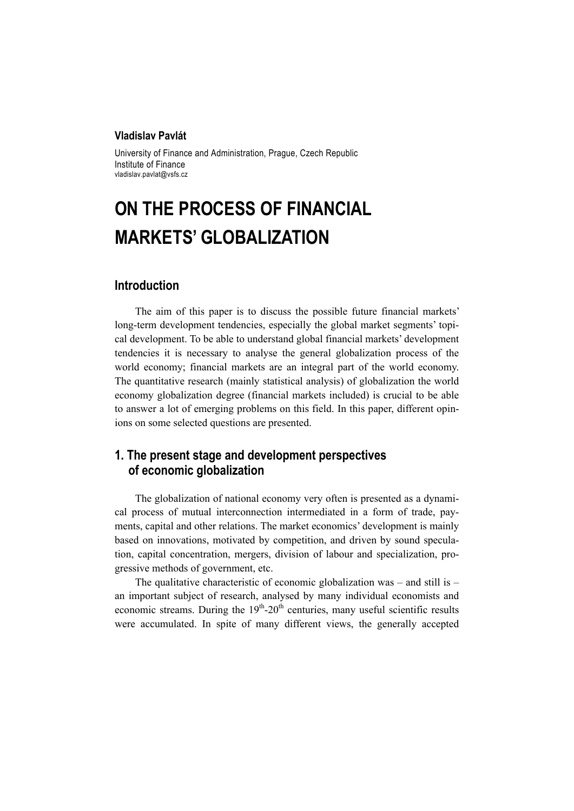#### **Vladislav Pavlát**

University of Finance and Administration, Prague, Czech Republic Institute of Finance vladislav.pavlat@vsfs.cz

# **ON THE PROCESS OF FINANCIAL MARKETS' GLOBALIZATION**

## **Introduction**

The aim of this paper is to discuss the possible future financial markets' long-term development tendencies, especially the global market segments' topical development. To be able to understand global financial markets' development tendencies it is necessary to analyse the general globalization process of the world economy; financial markets are an integral part of the world economy. The quantitative research (mainly statistical analysis) of globalization the world economy globalization degree (financial markets included) is crucial to be able to answer a lot of emerging problems on this field. In this paper, different opinions on some selected questions are presented.

# **1. The present stage and development perspectives of economic globalization**

The globalization of national economy very often is presented as a dynamical process of mutual interconnection intermediated in a form of trade, payments, capital and other relations. The market economics' development is mainly based on innovations, motivated by competition, and driven by sound speculation, capital concentration, mergers, division of labour and specialization, progressive methods of government, etc.

The qualitative characteristic of economic globalization was – and still is – an important subject of research, analysed by many individual economists and economic streams. During the  $19<sup>th</sup>$ -20<sup>th</sup> centuries, many useful scientific results were accumulated. In spite of many different views, the generally accepted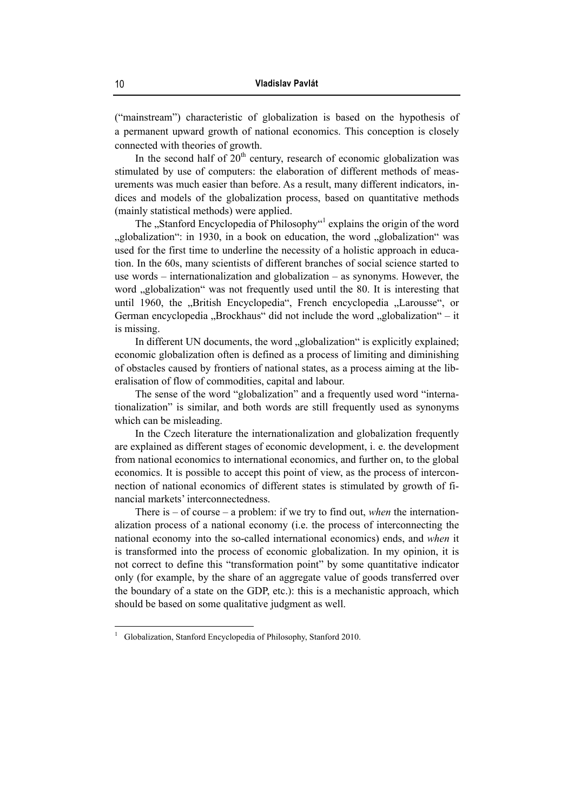("mainstream") characteristic of globalization is based on the hypothesis of a permanent upward growth of national economics. This conception is closely connected with theories of growth.

In the second half of  $20<sup>th</sup>$  century, research of economic globalization was stimulated by use of computers: the elaboration of different methods of measurements was much easier than before. As a result, many different indicators, indices and models of the globalization process, based on quantitative methods (mainly statistical methods) were applied.

The "Stanford Encyclopedia of Philosophy"<sup>1</sup> explains the origin of the word ", globalization": in 1930, in a book on education, the word "globalization" was used for the first time to underline the necessity of a holistic approach in education. In the 60s, many scientists of different branches of social science started to use words – internationalization and globalization – as synonyms. However, the word "globalization" was not frequently used until the 80. It is interesting that until 1960, the "British Encyclopedia", French encyclopedia "Larousse", or German encyclopedia "Brockhaus" did not include the word "globalization" – it is missing.

In different UN documents, the word "globalization" is explicitly explained; economic globalization often is defined as a process of limiting and diminishing of obstacles caused by frontiers of national states, as a process aiming at the liberalisation of flow of commodities, capital and labour.

The sense of the word "globalization" and a frequently used word "internationalization" is similar, and both words are still frequently used as synonyms which can be misleading.

In the Czech literature the internationalization and globalization frequently are explained as different stages of economic development, i. e. the development from national economics to international economics, and further on, to the global economics. It is possible to accept this point of view, as the process of interconnection of national economics of different states is stimulated by growth of financial markets' interconnectedness.

There is – of course – a problem: if we try to find out, *when* the internationalization process of a national economy (i.e. the process of interconnecting the national economy into the so-called international economics) ends, and *when* it is transformed into the process of economic globalization. In my opinion, it is not correct to define this "transformation point" by some quantitative indicator only (for example, by the share of an aggregate value of goods transferred over the boundary of a state on the GDP, etc.): this is a mechanistic approach, which should be based on some qualitative judgment as well.

<sup>1</sup> Globalization, Stanford Encyclopedia of Philosophy, Stanford 2010.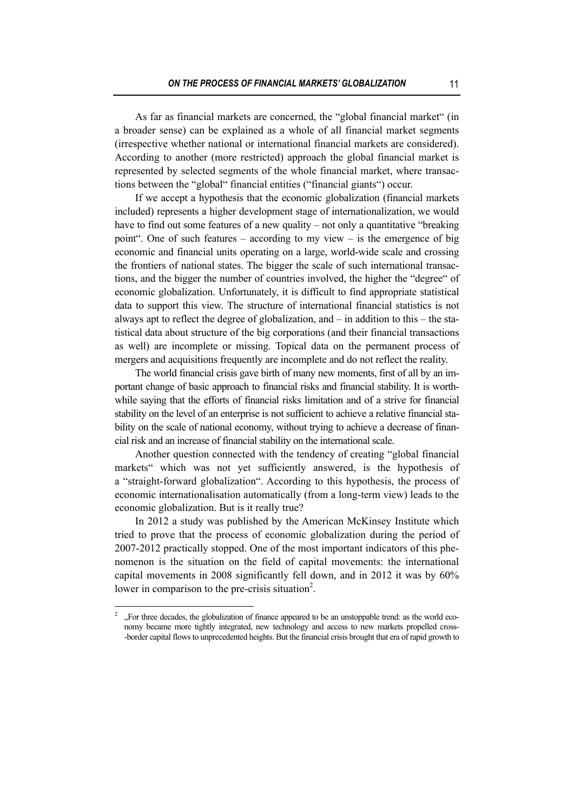As far as financial markets are concerned, the "global financial market" (in a broader sense) can be explained as a whole of all financial market segments (irrespective whether national or international financial markets are considered). According to another (more restricted) approach the global financial market is represented by selected segments of the whole financial market, where transactions between the "global" financial entities ("financial giants") occur.

If we accept a hypothesis that the economic globalization (financial markets included) represents a higher development stage of internationalization, we would have to find out some features of a new quality – not only a quantitative "breaking" point". One of such features – according to my view – is the emergence of big economic and financial units operating on a large, world-wide scale and crossing the frontiers of national states. The bigger the scale of such international transactions, and the bigger the number of countries involved, the higher the "degree" of economic globalization. Unfortunately, it is difficult to find appropriate statistical data to support this view. The structure of international financial statistics is not always apt to reflect the degree of globalization, and – in addition to this – the statistical data about structure of the big corporations (and their financial transactions as well) are incomplete or missing. Topical data on the permanent process of mergers and acquisitions frequently are incomplete and do not reflect the reality.

The world financial crisis gave birth of many new moments, first of all by an important change of basic approach to financial risks and financial stability. It is worthwhile saying that the efforts of financial risks limitation and of a strive for financial stability on the level of an enterprise is not sufficient to achieve a relative financial stability on the scale of national economy, without trying to achieve a decrease of financial risk and an increase of financial stability on the international scale.

Another question connected with the tendency of creating "global financial markets" which was not yet sufficiently answered, is the hypothesis of a "straight-forward globalization". According to this hypothesis, the process of economic internationalisation automatically (from a long-term view) leads to the economic globalization. But is it really true?

In 2012 a study was published by the American McKinsey Institute which tried to prove that the process of economic globalization during the period of 2007-2012 practically stopped. One of the most important indicators of this phenomenon is the situation on the field of capital movements: the international capital movements in 2008 significantly fell down, and in 2012 it was by 60% lower in comparison to the pre-crisis situation<sup>2</sup>.

<sup>2</sup> "For three decades, the globalization of finance appeared to be an unstoppable trend: as the world economy became more tightly integrated, new technology and access to new markets propelled cross- -border capital flows to unprecedented heights. But the financial crisis brought that era of rapid growth to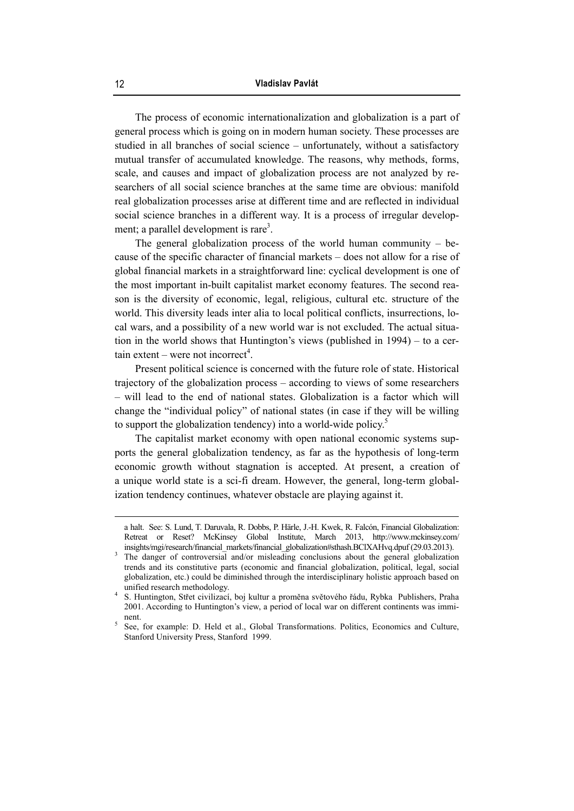The process of economic internationalization and globalization is a part of general process which is going on in modern human society. These processes are studied in all branches of social science – unfortunately, without a satisfactory mutual transfer of accumulated knowledge. The reasons, why methods, forms, scale, and causes and impact of globalization process are not analyzed by researchers of all social science branches at the same time are obvious: manifold real globalization processes arise at different time and are reflected in individual social science branches in a different way. It is a process of irregular development; a parallel development is rare<sup>3</sup>.

The general globalization process of the world human community  $-$  because of the specific character of financial markets – does not allow for a rise of global financial markets in a straightforward line: cyclical development is one of the most important in-built capitalist market economy features. The second reason is the diversity of economic, legal, religious, cultural etc. structure of the world. This diversity leads inter alia to local political conflicts, insurrections, local wars, and a possibility of a new world war is not excluded. The actual situation in the world shows that Huntington's views (published in 1994) – to a cer- $\text{tain extent} - \text{were not incorrect}^4$ .

Present political science is concerned with the future role of state. Historical trajectory of the globalization process – according to views of some researchers – will lead to the end of national states. Globalization is a factor which will change the "individual policy" of national states (in case if they will be willing to support the globalization tendency) into a world-wide policy.<sup>5</sup>

The capitalist market economy with open national economic systems supports the general globalization tendency, as far as the hypothesis of long-term economic growth without stagnation is accepted. At present, a creation of a unique world state is a sci-fi dream. However, the general, long-term globalization tendency continues, whatever obstacle are playing against it.

a halt. See: S. Lund, T. Daruvala, R. Dobbs, P. Härle, J.-H. Kwek, R. Falcón, Financial Globalization: Retreat or Reset? McKinsey Global Institute, March 2013, http://www.mckinsey.com/ insights/mgi/research/financial\_markets/financial\_globalization#sthash.BClXAHvq.dpuf (29.03.2013).

The danger of controversial and/or misleading conclusions about the general globalization trends and its constitutive parts (economic and financial globalization, political, legal, social globalization, etc.) could be diminished through the interdisciplinary holistic approach based on unified research methodology.

S. Huntington, Střet civilizací, boj kultur a proměna světového řádu, Rybka Publishers, Praha 2001. According to Huntington's view, a period of local war on different continents was imminent.

See, for example: D. Held et al., Global Transformations. Politics, Economics and Culture, Stanford University Press, Stanford 1999.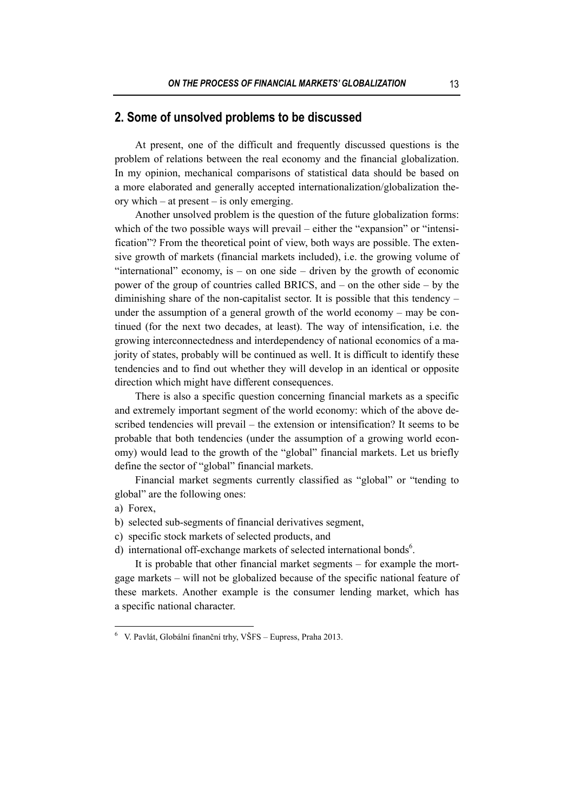## **2. Some of unsolved problems to be discussed**

At present, one of the difficult and frequently discussed questions is the problem of relations between the real economy and the financial globalization. In my opinion, mechanical comparisons of statistical data should be based on a more elaborated and generally accepted internationalization/globalization theory which – at present – is only emerging.

Another unsolved problem is the question of the future globalization forms: which of the two possible ways will prevail – either the "expansion" or "intensification"? From the theoretical point of view, both ways are possible. The extensive growth of markets (financial markets included), i.e. the growing volume of "international" economy, is – on one side – driven by the growth of economic power of the group of countries called BRICS, and – on the other side – by the diminishing share of the non-capitalist sector. It is possible that this tendency – under the assumption of a general growth of the world economy – may be continued (for the next two decades, at least). The way of intensification, i.e. the growing interconnectedness and interdependency of national economics of a majority of states, probably will be continued as well. It is difficult to identify these tendencies and to find out whether they will develop in an identical or opposite direction which might have different consequences.

There is also a specific question concerning financial markets as a specific and extremely important segment of the world economy: which of the above described tendencies will prevail – the extension or intensification? It seems to be probable that both tendencies (under the assumption of a growing world economy) would lead to the growth of the "global" financial markets. Let us briefly define the sector of "global" financial markets.

Financial market segments currently classified as "global" or "tending to global" are the following ones:

 $\overline{a}$ 

- b) selected sub-segments of financial derivatives segment,
- c) specific stock markets of selected products, and
- d) international off-exchange markets of selected international bonds<sup>6</sup>.

It is probable that other financial market segments – for example the mortgage markets – will not be globalized because of the specific national feature of these markets. Another example is the consumer lending market, which has a specific national character.

a) Forex,

<sup>6</sup> V. Pavlát, Globální finanční trhy, VŠFS – Eupress, Praha 2013.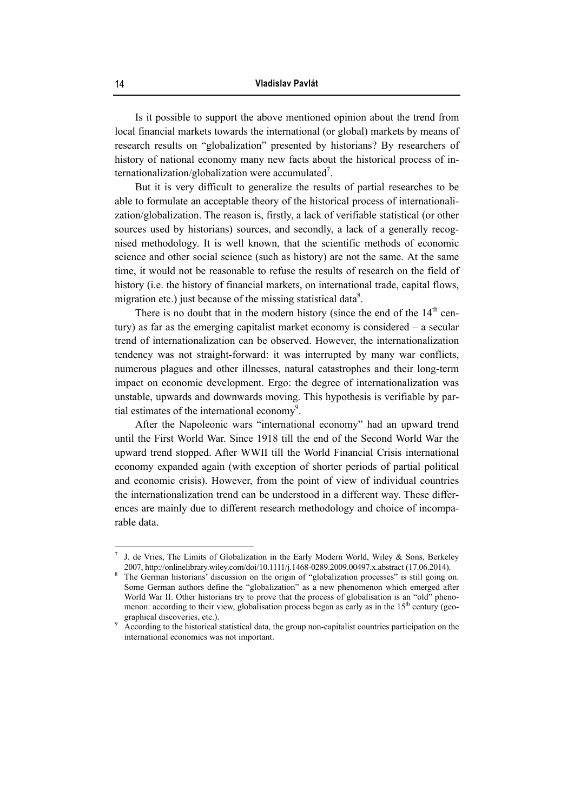Is it possible to support the above mentioned opinion about the trend from local financial markets towards the international (or global) markets by means of research results on "globalization" presented by historians? By researchers of history of national economy many new facts about the historical process of internationalization/globalization were accumulated<sup>7</sup>.

But it is very difficult to generalize the results of partial researches to be able to formulate an acceptable theory of the historical process of internationalization/globalization. The reason is, firstly, a lack of verifiable statistical (or other sources used by historians) sources, and secondly, a lack of a generally recognised methodology. It is well known, that the scientific methods of economic science and other social science (such as history) are not the same. At the same time, it would not be reasonable to refuse the results of research on the field of history (i.e. the history of financial markets, on international trade, capital flows, migration etc.) just because of the missing statistical data<sup>8</sup>.

There is no doubt that in the modern history (since the end of the  $14<sup>th</sup>$  century) as far as the emerging capitalist market economy is considered – a secular trend of internationalization can be observed. However, the internationalization tendency was not straight-forward: it was interrupted by many war conflicts, numerous plagues and other illnesses, natural catastrophes and their long-term impact on economic development. Ergo: the degree of internationalization was unstable, upwards and downwards moving. This hypothesis is verifiable by partial estimates of the international economy<sup>9</sup>.

After the Napoleonic wars "international economy" had an upward trend until the First World War. Since 1918 till the end of the Second World War the upward trend stopped. After WWII till the World Financial Crisis international economy expanded again (with exception of shorter periods of partial political and economic crisis). However, from the point of view of individual countries the internationalization trend can be understood in a different way. These differences are mainly due to different research methodology and choice of incomparable data.

 7 J. de Vries, The Limits of Globalization in the Early Modern World, Wiley & Sons, Berkeley

<sup>2007,</sup> http://onlinelibrary.wiley.com/doi/10.1111/j.1468-0289.2009.00497.x.abstract (17.06.2014). 8 The German historians' discussion on the origin of "globalization processes" is still going on. Some German authors define the "globalization" as a new phenomenon which emerged after World War II. Other historians try to prove that the process of globalisation is an "old" phenomenon: according to their view, globalisation process began as early as in the  $15<sup>th</sup>$  century (geographical discoveries, etc.).

According to the historical statistical data, the group non-capitalist countries participation on the international economics was not important.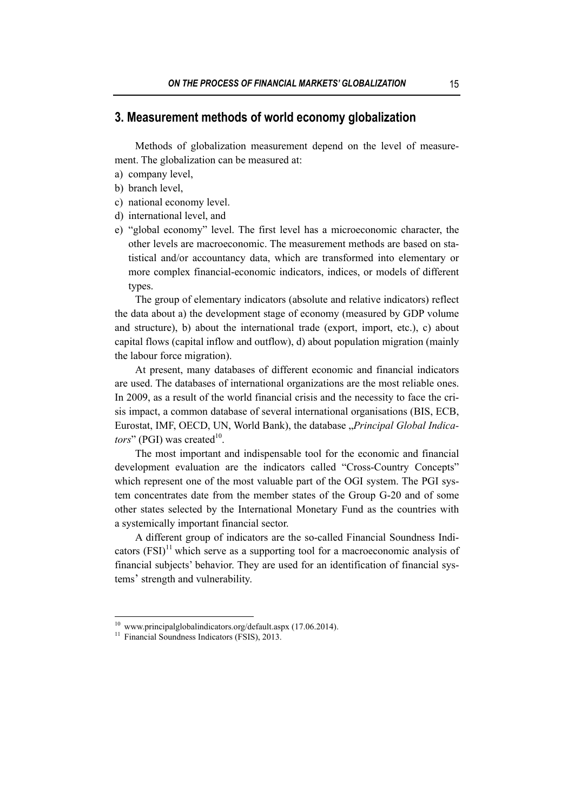### **3. Measurement methods of world economy globalization**

Methods of globalization measurement depend on the level of measurement. The globalization can be measured at:

- a) company level,
- b) branch level,
- c) national economy level.
- d) international level, and
- e) "global economy" level. The first level has a microeconomic character, the other levels are macroeconomic. The measurement methods are based on statistical and/or accountancy data, which are transformed into elementary or more complex financial-economic indicators, indices, or models of different types.

The group of elementary indicators (absolute and relative indicators) reflect the data about a) the development stage of economy (measured by GDP volume and structure), b) about the international trade (export, import, etc.), c) about capital flows (capital inflow and outflow), d) about population migration (mainly the labour force migration).

At present, many databases of different economic and financial indicators are used. The databases of international organizations are the most reliable ones. In 2009, as a result of the world financial crisis and the necessity to face the crisis impact, a common database of several international organisations (BIS, ECB, Eurostat, IMF, OECD, UN, World Bank), the database "Principal Global Indica*tors*" (PGI) was created<sup>10</sup>.

The most important and indispensable tool for the economic and financial development evaluation are the indicators called "Cross-Country Concepts" which represent one of the most valuable part of the OGI system. The PGI system concentrates date from the member states of the Group G-20 and of some other states selected by the International Monetary Fund as the countries with a systemically important financial sector.

A different group of indicators are the so-called Financial Soundness Indicators  $(FSI)^{11}$  which serve as a supporting tool for a macroeconomic analysis of financial subjects' behavior. They are used for an identification of financial systems' strength and vulnerability.

<sup>10</sup> www.principalglobalindicators.org/default.aspx (17.06.2014).

<sup>&</sup>lt;sup>11</sup> Financial Soundness Indicators (FSIS), 2013.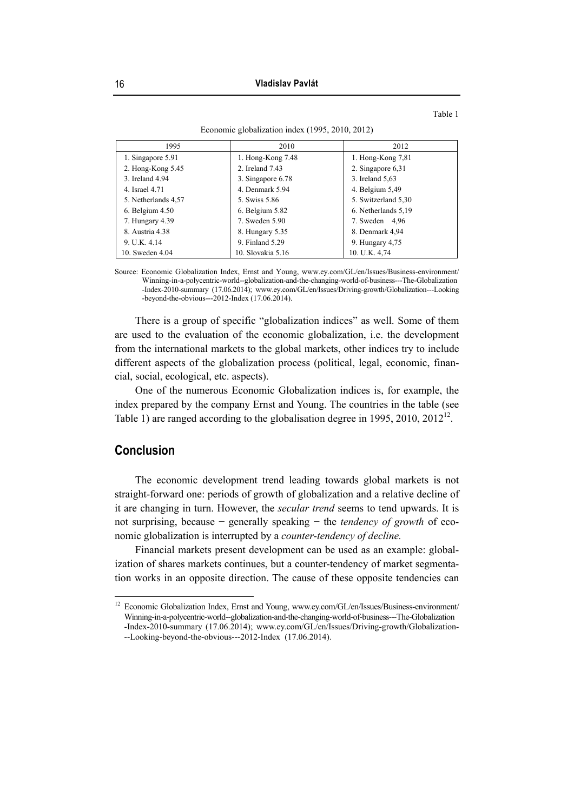Table 1

6. Netherlands 5,19 7. Sweden 4,96 8. Denmark 4,94 9. Hungary 4,75 10. U.K. 4,74

| 1995                | 2010                | 2012                |
|---------------------|---------------------|---------------------|
| 1. Singapore 5.91   | 1. Hong-Kong $7.48$ | 1. Hong-Kong $7,81$ |
| 2. Hong-Kong 5.45   | 2. Ireland 7.43     | 2. Singapore 6,31   |
| 3. Ireland 4.94     | 3. Singapore 6.78   | 3. Ireland 5,63     |
| 4. Israel 4.71      | 4. Denmark 5.94     | 4. Belgium 5,49     |
| 5. Netherlands 4,57 | 5. Swiss 5.86       | 5. Switzerland 5,30 |

6. Belgium 5.82 7. Sweden 5.90 8. Hungary 5.35 9. Finland 5.29 10. Slovakia 5.16

Economic globalization index (1995, 2010, 2012)

Source: Economic Globalization Index, Ernst and Young, www.ey.com/GL/en/Issues/Business-environment/ Winning-in-a-polycentric-world--globalization-and-the-changing-world-of-business---The-Globalization -Index-2010-summary (17.06.2014); www.ey.com/GL/en/Issues/Driving-growth/Globalization---Looking -beyond-the-obvious---2012-Index (17.06.2014).

There is a group of specific "globalization indices" as well. Some of them are used to the evaluation of the economic globalization, i.e. the development from the international markets to the global markets, other indices try to include different aspects of the globalization process (political, legal, economic, financial, social, ecological, etc. aspects).

One of the numerous Economic Globalization indices is, for example, the index prepared by the company Ernst and Young. The countries in the table (see Table 1) are ranged according to the globalisation degree in 1995, 2010,  $2012^{12}$ .

## **Conclusion**

 $\overline{a}$ 

The economic development trend leading towards global markets is not straight-forward one: periods of growth of globalization and a relative decline of it are changing in turn. However, the *secular trend* seems to tend upwards. It is not surprising, because − generally speaking − the *tendency of growth* of economic globalization is interrupted by a *counter-tendency of decline.*

Financial markets present development can be used as an example: globalization of shares markets continues, but a counter-tendency of market segmentation works in an opposite direction. The cause of these opposite tendencies can

 $\overline{3}$ .  $4.$ 

6. Belgium 4.50 7. Hungary 4.39 8. Austria 4.38 9. U.K. 4.14 10. Sweden 4.04

<sup>&</sup>lt;sup>12</sup> Economic Globalization Index, Ernst and Young, www.ey.com/GL/en/Issues/Business-environment/ Winning-in-a-polycentric-world--globalization-and-the-changing-world-of-business---The-Globalization -Index-2010-summary (17.06.2014); www.ey.com/GL/en/Issues/Driving-growth/Globalization- --Looking-beyond-the-obvious---2012-Index (17.06.2014).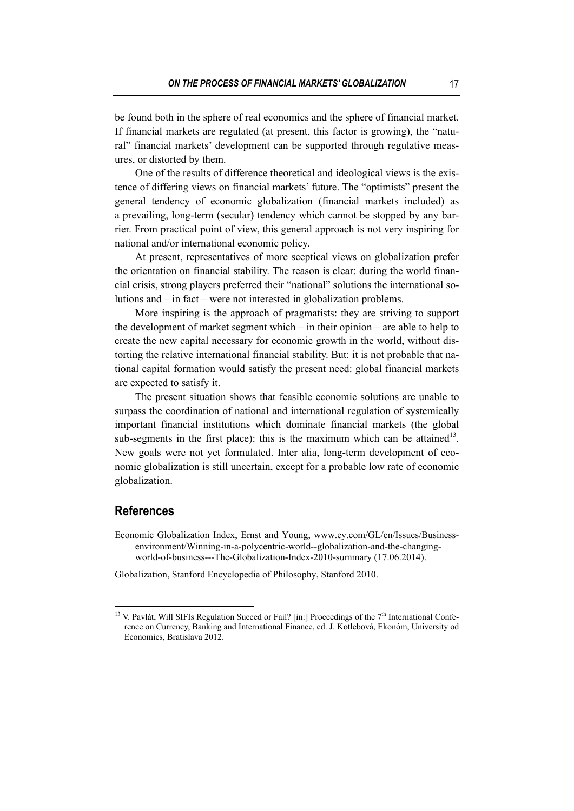be found both in the sphere of real economics and the sphere of financial market. If financial markets are regulated (at present, this factor is growing), the "natural" financial markets' development can be supported through regulative measures, or distorted by them.

One of the results of difference theoretical and ideological views is the existence of differing views on financial markets' future. The "optimists" present the general tendency of economic globalization (financial markets included) as a prevailing, long-term (secular) tendency which cannot be stopped by any barrier. From practical point of view, this general approach is not very inspiring for national and/or international economic policy.

At present, representatives of more sceptical views on globalization prefer the orientation on financial stability. The reason is clear: during the world financial crisis, strong players preferred their "national" solutions the international solutions and – in fact – were not interested in globalization problems.

More inspiring is the approach of pragmatists: they are striving to support the development of market segment which – in their opinion – are able to help to create the new capital necessary for economic growth in the world, without distorting the relative international financial stability. But: it is not probable that national capital formation would satisfy the present need: global financial markets are expected to satisfy it.

The present situation shows that feasible economic solutions are unable to surpass the coordination of national and international regulation of systemically important financial institutions which dominate financial markets (the global sub-segments in the first place): this is the maximum which can be attained<sup>13</sup>. New goals were not yet formulated. Inter alia, long-term development of economic globalization is still uncertain, except for a probable low rate of economic globalization.

## **References**

- Economic Globalization Index, Ernst and Young, www.ey.com/GL/en/Issues/Businessenvironment/Winning-in-a-polycentric-world--globalization-and-the-changingworld-of-business---The-Globalization-Index-2010-summary (17.06.2014).
- Globalization, Stanford Encyclopedia of Philosophy, Stanford 2010.

<sup>&</sup>lt;sup>13</sup> V. Pavlát, Will SIFIs Regulation Succed or Fail? [in:] Proceedings of the 7<sup>th</sup> International Conference on Currency, Banking and International Finance, ed. J. Kotlebová, Ekonóm, University od Economics, Bratislava 2012.